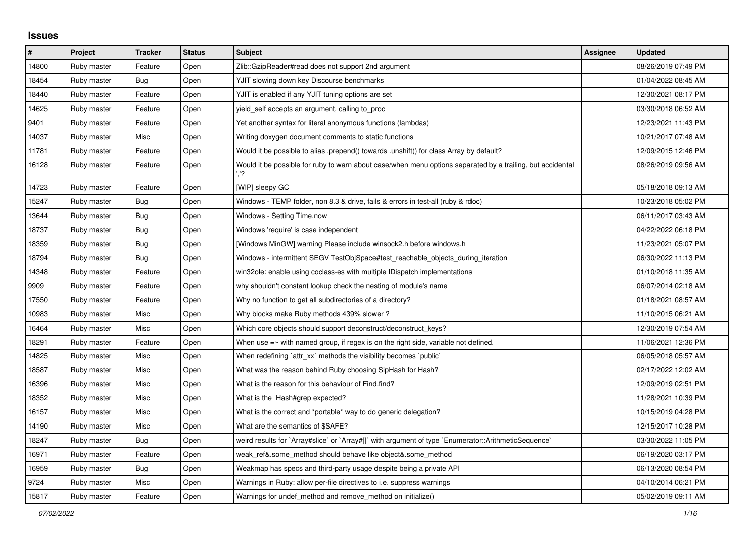## **Issues**

| $\vert$ # | Project     | <b>Tracker</b> | <b>Status</b> | <b>Subject</b>                                                                                             | <b>Assignee</b> | <b>Updated</b>      |
|-----------|-------------|----------------|---------------|------------------------------------------------------------------------------------------------------------|-----------------|---------------------|
| 14800     | Ruby master | Feature        | Open          | Zlib::GzipReader#read does not support 2nd argument                                                        |                 | 08/26/2019 07:49 PM |
| 18454     | Ruby master | Bug            | Open          | YJIT slowing down key Discourse benchmarks                                                                 |                 | 01/04/2022 08:45 AM |
| 18440     | Ruby master | Feature        | Open          | YJIT is enabled if any YJIT tuning options are set                                                         |                 | 12/30/2021 08:17 PM |
| 14625     | Ruby master | Feature        | Open          | yield self accepts an argument, calling to proc                                                            |                 | 03/30/2018 06:52 AM |
| 9401      | Ruby master | Feature        | Open          | Yet another syntax for literal anonymous functions (lambdas)                                               |                 | 12/23/2021 11:43 PM |
| 14037     | Ruby master | Misc           | Open          | Writing doxygen document comments to static functions                                                      |                 | 10/21/2017 07:48 AM |
| 11781     | Ruby master | Feature        | Open          | Would it be possible to alias .prepend() towards .unshift() for class Array by default?                    |                 | 12/09/2015 12:46 PM |
| 16128     | Ruby master | Feature        | Open          | Would it be possible for ruby to warn about case/when menu options separated by a trailing, but accidental |                 | 08/26/2019 09:56 AM |
| 14723     | Ruby master | Feature        | Open          | [WIP] sleepy GC                                                                                            |                 | 05/18/2018 09:13 AM |
| 15247     | Ruby master | Bug            | Open          | Windows - TEMP folder, non 8.3 & drive, fails & errors in test-all (ruby & rdoc)                           |                 | 10/23/2018 05:02 PM |
| 13644     | Ruby master | Bug            | Open          | Windows - Setting Time.now                                                                                 |                 | 06/11/2017 03:43 AM |
| 18737     | Ruby master | Bug            | Open          | Windows 'require' is case independent                                                                      |                 | 04/22/2022 06:18 PM |
| 18359     | Ruby master | Bug            | Open          | [Windows MinGW] warning Please include winsock2.h before windows.h                                         |                 | 11/23/2021 05:07 PM |
| 18794     | Ruby master | <b>Bug</b>     | Open          | Windows - intermittent SEGV TestObjSpace#test_reachable_objects_during_iteration                           |                 | 06/30/2022 11:13 PM |
| 14348     | Ruby master | Feature        | Open          | win32ole: enable using coclass-es with multiple IDispatch implementations                                  |                 | 01/10/2018 11:35 AM |
| 9909      | Ruby master | Feature        | Open          | why shouldn't constant lookup check the nesting of module's name                                           |                 | 06/07/2014 02:18 AM |
| 17550     | Ruby master | Feature        | Open          | Why no function to get all subdirectories of a directory?                                                  |                 | 01/18/2021 08:57 AM |
| 10983     | Ruby master | Misc           | Open          | Why blocks make Ruby methods 439% slower?                                                                  |                 | 11/10/2015 06:21 AM |
| 16464     | Ruby master | Misc           | Open          | Which core objects should support deconstruct/deconstruct_keys?                                            |                 | 12/30/2019 07:54 AM |
| 18291     | Ruby master | Feature        | Open          | When use $=\sim$ with named group, if regex is on the right side, variable not defined.                    |                 | 11/06/2021 12:36 PM |
| 14825     | Ruby master | Misc           | Open          | When redefining `attr_xx` methods the visibility becomes `public`                                          |                 | 06/05/2018 05:57 AM |
| 18587     | Ruby master | Misc           | Open          | What was the reason behind Ruby choosing SipHash for Hash?                                                 |                 | 02/17/2022 12:02 AM |
| 16396     | Ruby master | Misc           | Open          | What is the reason for this behaviour of Find.find?                                                        |                 | 12/09/2019 02:51 PM |
| 18352     | Ruby master | Misc           | Open          | What is the Hash#grep expected?                                                                            |                 | 11/28/2021 10:39 PM |
| 16157     | Ruby master | Misc           | Open          | What is the correct and *portable* way to do generic delegation?                                           |                 | 10/15/2019 04:28 PM |
| 14190     | Ruby master | Misc           | Open          | What are the semantics of \$SAFE?                                                                          |                 | 12/15/2017 10:28 PM |
| 18247     | Ruby master | Bug            | Open          | weird results for `Array#slice` or `Array#[]` with argument of type `Enumerator::ArithmeticSequence`       |                 | 03/30/2022 11:05 PM |
| 16971     | Ruby master | Feature        | Open          | weak ref&.some method should behave like object&.some method                                               |                 | 06/19/2020 03:17 PM |
| 16959     | Ruby master | Bug            | Open          | Weakmap has specs and third-party usage despite being a private API                                        |                 | 06/13/2020 08:54 PM |
| 9724      | Ruby master | Misc           | Open          | Warnings in Ruby: allow per-file directives to i.e. suppress warnings                                      |                 | 04/10/2014 06:21 PM |
| 15817     | Ruby master | Feature        | Open          | Warnings for undef method and remove method on initialize()                                                |                 | 05/02/2019 09:11 AM |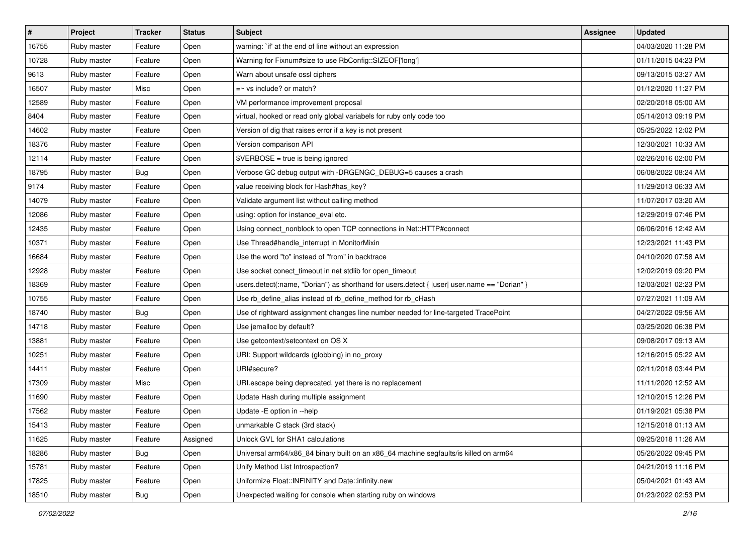| $\vert$ # | Project     | <b>Tracker</b> | <b>Status</b> | <b>Subject</b>                                                                                 | <b>Assignee</b> | <b>Updated</b>      |
|-----------|-------------|----------------|---------------|------------------------------------------------------------------------------------------------|-----------------|---------------------|
| 16755     | Ruby master | Feature        | Open          | warning: `if' at the end of line without an expression                                         |                 | 04/03/2020 11:28 PM |
| 10728     | Ruby master | Feature        | Open          | Warning for Fixnum#size to use RbConfig::SIZEOF['long']                                        |                 | 01/11/2015 04:23 PM |
| 9613      | Ruby master | Feature        | Open          | Warn about unsafe ossl ciphers                                                                 |                 | 09/13/2015 03:27 AM |
| 16507     | Ruby master | Misc           | Open          | $=$ vs include? or match?                                                                      |                 | 01/12/2020 11:27 PM |
| 12589     | Ruby master | Feature        | Open          | VM performance improvement proposal                                                            |                 | 02/20/2018 05:00 AM |
| 8404      | Ruby master | Feature        | Open          | virtual, hooked or read only global variabels for ruby only code too                           |                 | 05/14/2013 09:19 PM |
| 14602     | Ruby master | Feature        | Open          | Version of dig that raises error if a key is not present                                       |                 | 05/25/2022 12:02 PM |
| 18376     | Ruby master | Feature        | Open          | Version comparison API                                                                         |                 | 12/30/2021 10:33 AM |
| 12114     | Ruby master | Feature        | Open          | \$VERBOSE = true is being ignored                                                              |                 | 02/26/2016 02:00 PM |
| 18795     | Ruby master | Bug            | Open          | Verbose GC debug output with -DRGENGC_DEBUG=5 causes a crash                                   |                 | 06/08/2022 08:24 AM |
| 9174      | Ruby master | Feature        | Open          | value receiving block for Hash#has_key?                                                        |                 | 11/29/2013 06:33 AM |
| 14079     | Ruby master | Feature        | Open          | Validate argument list without calling method                                                  |                 | 11/07/2017 03:20 AM |
| 12086     | Ruby master | Feature        | Open          | using: option for instance eval etc.                                                           |                 | 12/29/2019 07:46 PM |
| 12435     | Ruby master | Feature        | Open          | Using connect_nonblock to open TCP connections in Net::HTTP#connect                            |                 | 06/06/2016 12:42 AM |
| 10371     | Ruby master | Feature        | Open          | Use Thread#handle_interrupt in MonitorMixin                                                    |                 | 12/23/2021 11:43 PM |
| 16684     | Ruby master | Feature        | Open          | Use the word "to" instead of "from" in backtrace                                               |                 | 04/10/2020 07:58 AM |
| 12928     | Ruby master | Feature        | Open          | Use socket conect_timeout in net stdlib for open_timeout                                       |                 | 12/02/2019 09:20 PM |
| 18369     | Ruby master | Feature        | Open          | users.detect(:name, "Dorian") as shorthand for users.detect { $ user $ user.name == "Dorian" } |                 | 12/03/2021 02:23 PM |
| 10755     | Ruby master | Feature        | Open          | Use rb_define_alias instead of rb_define_method for rb_cHash                                   |                 | 07/27/2021 11:09 AM |
| 18740     | Ruby master | <b>Bug</b>     | Open          | Use of rightward assignment changes line number needed for line-targeted TracePoint            |                 | 04/27/2022 09:56 AM |
| 14718     | Ruby master | Feature        | Open          | Use jemalloc by default?                                                                       |                 | 03/25/2020 06:38 PM |
| 13881     | Ruby master | Feature        | Open          | Use getcontext/setcontext on OS X                                                              |                 | 09/08/2017 09:13 AM |
| 10251     | Ruby master | Feature        | Open          | URI: Support wildcards (globbing) in no_proxy                                                  |                 | 12/16/2015 05:22 AM |
| 14411     | Ruby master | Feature        | Open          | URI#secure?                                                                                    |                 | 02/11/2018 03:44 PM |
| 17309     | Ruby master | Misc           | Open          | URI escape being deprecated, yet there is no replacement                                       |                 | 11/11/2020 12:52 AM |
| 11690     | Ruby master | Feature        | Open          | Update Hash during multiple assignment                                                         |                 | 12/10/2015 12:26 PM |
| 17562     | Ruby master | Feature        | Open          | Update - E option in -- help                                                                   |                 | 01/19/2021 05:38 PM |
| 15413     | Ruby master | Feature        | Open          | unmarkable C stack (3rd stack)                                                                 |                 | 12/15/2018 01:13 AM |
| 11625     | Ruby master | Feature        | Assigned      | Unlock GVL for SHA1 calculations                                                               |                 | 09/25/2018 11:26 AM |
| 18286     | Ruby master | Bug            | Open          | Universal arm64/x86_84 binary built on an x86_64 machine segfaults/is killed on arm64          |                 | 05/26/2022 09:45 PM |
| 15781     | Ruby master | Feature        | Open          | Unify Method List Introspection?                                                               |                 | 04/21/2019 11:16 PM |
| 17825     | Ruby master | Feature        | Open          | Uniformize Float::INFINITY and Date::infinity.new                                              |                 | 05/04/2021 01:43 AM |
| 18510     | Ruby master | <b>Bug</b>     | Open          | Unexpected waiting for console when starting ruby on windows                                   |                 | 01/23/2022 02:53 PM |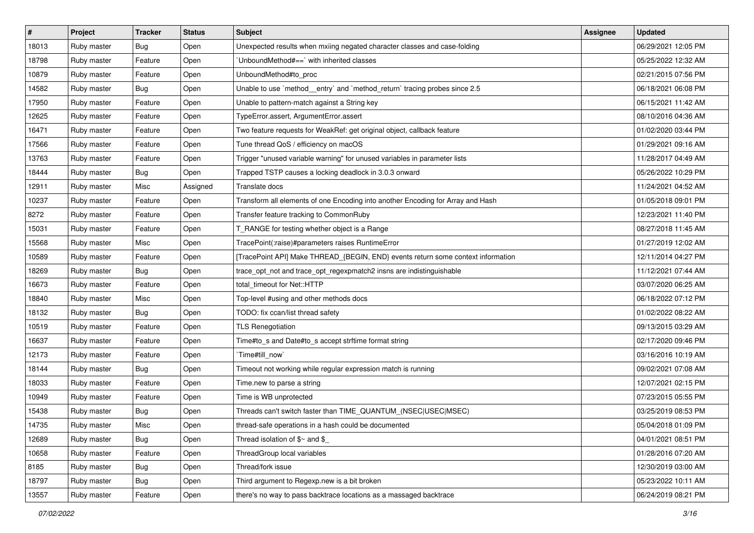| $\vert$ # | Project     | <b>Tracker</b> | <b>Status</b> | <b>Subject</b>                                                                   | <b>Assignee</b> | <b>Updated</b>      |
|-----------|-------------|----------------|---------------|----------------------------------------------------------------------------------|-----------------|---------------------|
| 18013     | Ruby master | Bug            | Open          | Unexpected results when mxiing negated character classes and case-folding        |                 | 06/29/2021 12:05 PM |
| 18798     | Ruby master | Feature        | Open          | UnboundMethod#==`with inherited classes                                          |                 | 05/25/2022 12:32 AM |
| 10879     | Ruby master | Feature        | Open          | UnboundMethod#to_proc                                                            |                 | 02/21/2015 07:56 PM |
| 14582     | Ruby master | <b>Bug</b>     | Open          | Unable to use `method_entry` and `method_return` tracing probes since 2.5        |                 | 06/18/2021 06:08 PM |
| 17950     | Ruby master | Feature        | Open          | Unable to pattern-match against a String key                                     |                 | 06/15/2021 11:42 AM |
| 12625     | Ruby master | Feature        | Open          | TypeError.assert, ArgumentError.assert                                           |                 | 08/10/2016 04:36 AM |
| 16471     | Ruby master | Feature        | Open          | Two feature requests for WeakRef: get original object, callback feature          |                 | 01/02/2020 03:44 PM |
| 17566     | Ruby master | Feature        | Open          | Tune thread QoS / efficiency on macOS                                            |                 | 01/29/2021 09:16 AM |
| 13763     | Ruby master | Feature        | Open          | Trigger "unused variable warning" for unused variables in parameter lists        |                 | 11/28/2017 04:49 AM |
| 18444     | Ruby master | <b>Bug</b>     | Open          | Trapped TSTP causes a locking deadlock in 3.0.3 onward                           |                 | 05/26/2022 10:29 PM |
| 12911     | Ruby master | Misc           | Assigned      | Translate docs                                                                   |                 | 11/24/2021 04:52 AM |
| 10237     | Ruby master | Feature        | Open          | Transform all elements of one Encoding into another Encoding for Array and Hash  |                 | 01/05/2018 09:01 PM |
| 8272      | Ruby master | Feature        | Open          | Transfer feature tracking to CommonRuby                                          |                 | 12/23/2021 11:40 PM |
| 15031     | Ruby master | Feature        | Open          | T_RANGE for testing whether object is a Range                                    |                 | 08/27/2018 11:45 AM |
| 15568     | Ruby master | Misc           | Open          | TracePoint(:raise)#parameters raises RuntimeError                                |                 | 01/27/2019 12:02 AM |
| 10589     | Ruby master | Feature        | Open          | [TracePoint API] Make THREAD_{BEGIN, END} events return some context information |                 | 12/11/2014 04:27 PM |
| 18269     | Ruby master | Bug            | Open          | trace_opt_not and trace_opt_regexpmatch2 insns are indistinguishable             |                 | 11/12/2021 07:44 AM |
| 16673     | Ruby master | Feature        | Open          | total_timeout for Net::HTTP                                                      |                 | 03/07/2020 06:25 AM |
| 18840     | Ruby master | Misc           | Open          | Top-level #using and other methods docs                                          |                 | 06/18/2022 07:12 PM |
| 18132     | Ruby master | <b>Bug</b>     | Open          | TODO: fix ccan/list thread safety                                                |                 | 01/02/2022 08:22 AM |
| 10519     | Ruby master | Feature        | Open          | <b>TLS Renegotiation</b>                                                         |                 | 09/13/2015 03:29 AM |
| 16637     | Ruby master | Feature        | Open          | Time#to_s and Date#to_s accept strftime format string                            |                 | 02/17/2020 09:46 PM |
| 12173     | Ruby master | Feature        | Open          | Time#till_now`                                                                   |                 | 03/16/2016 10:19 AM |
| 18144     | Ruby master | <b>Bug</b>     | Open          | Timeout not working while regular expression match is running                    |                 | 09/02/2021 07:08 AM |
| 18033     | Ruby master | Feature        | Open          | Time.new to parse a string                                                       |                 | 12/07/2021 02:15 PM |
| 10949     | Ruby master | Feature        | Open          | Time is WB unprotected                                                           |                 | 07/23/2015 05:55 PM |
| 15438     | Ruby master | <b>Bug</b>     | Open          | Threads can't switch faster than TIME_QUANTUM_(NSEC USEC MSEC)                   |                 | 03/25/2019 08:53 PM |
| 14735     | Ruby master | Misc           | Open          | thread-safe operations in a hash could be documented                             |                 | 05/04/2018 01:09 PM |
| 12689     | Ruby master | Bug            | Open          | Thread isolation of $$~$ and $$$                                                 |                 | 04/01/2021 08:51 PM |
| 10658     | Ruby master | Feature        | Open          | ThreadGroup local variables                                                      |                 | 01/28/2016 07:20 AM |
| 8185      | Ruby master | <b>Bug</b>     | Open          | Thread/fork issue                                                                |                 | 12/30/2019 03:00 AM |
| 18797     | Ruby master | <b>Bug</b>     | Open          | Third argument to Regexp.new is a bit broken                                     |                 | 05/23/2022 10:11 AM |
| 13557     | Ruby master | Feature        | Open          | there's no way to pass backtrace locations as a massaged backtrace               |                 | 06/24/2019 08:21 PM |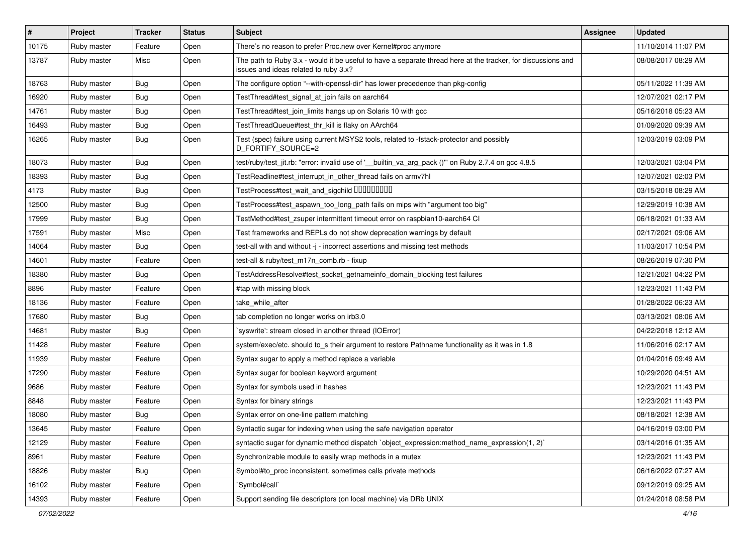| $\vert$ # | Project     | <b>Tracker</b> | <b>Status</b> | Subject                                                                                                                                               | <b>Assignee</b> | <b>Updated</b>      |
|-----------|-------------|----------------|---------------|-------------------------------------------------------------------------------------------------------------------------------------------------------|-----------------|---------------------|
| 10175     | Ruby master | Feature        | Open          | There's no reason to prefer Proc.new over Kernel#proc anymore                                                                                         |                 | 11/10/2014 11:07 PM |
| 13787     | Ruby master | Misc           | Open          | The path to Ruby 3.x - would it be useful to have a separate thread here at the tracker, for discussions and<br>issues and ideas related to ruby 3.x? |                 | 08/08/2017 08:29 AM |
| 18763     | Ruby master | Bug            | Open          | The configure option "--with-openssl-dir" has lower precedence than pkg-config                                                                        |                 | 05/11/2022 11:39 AM |
| 16920     | Ruby master | Bug            | Open          | TestThread#test_signal_at_join fails on aarch64                                                                                                       |                 | 12/07/2021 02:17 PM |
| 14761     | Ruby master | <b>Bug</b>     | Open          | TestThread#test_join_limits hangs up on Solaris 10 with gcc                                                                                           |                 | 05/16/2018 05:23 AM |
| 16493     | Ruby master | <b>Bug</b>     | Open          | TestThreadQueue#test_thr_kill is flaky on AArch64                                                                                                     |                 | 01/09/2020 09:39 AM |
| 16265     | Ruby master | Bug            | Open          | Test (spec) failure using current MSYS2 tools, related to -fstack-protector and possibly<br>D_FORTIFY_SOURCE=2                                        |                 | 12/03/2019 03:09 PM |
| 18073     | Ruby master | Bug            | Open          | test/ruby/test_jit.rb: "error: invalid use of '__builtin_va_arg_pack ()" on Ruby 2.7.4 on gcc 4.8.5                                                   |                 | 12/03/2021 03:04 PM |
| 18393     | Ruby master | <b>Bug</b>     | Open          | TestReadline#test_interrupt_in_other_thread fails on armv7hl                                                                                          |                 | 12/07/2021 02:03 PM |
| 4173      | Ruby master | Bug            | Open          | TestProcess#test_wait_and_sigchild DDDDDDDD                                                                                                           |                 | 03/15/2018 08:29 AM |
| 12500     | Ruby master | Bug            | Open          | TestProcess#test_aspawn_too_long_path fails on mips with "argument too big"                                                                           |                 | 12/29/2019 10:38 AM |
| 17999     | Ruby master | <b>Bug</b>     | Open          | TestMethod#test zsuper intermittent timeout error on raspbian10-aarch64 CI                                                                            |                 | 06/18/2021 01:33 AM |
| 17591     | Ruby master | Misc           | Open          | Test frameworks and REPLs do not show deprecation warnings by default                                                                                 |                 | 02/17/2021 09:06 AM |
| 14064     | Ruby master | <b>Bug</b>     | Open          | test-all with and without -j - incorrect assertions and missing test methods                                                                          |                 | 11/03/2017 10:54 PM |
| 14601     | Ruby master | Feature        | Open          | test-all & ruby/test_m17n_comb.rb - fixup                                                                                                             |                 | 08/26/2019 07:30 PM |
| 18380     | Ruby master | Bug            | Open          | TestAddressResolve#test_socket_getnameinfo_domain_blocking test failures                                                                              |                 | 12/21/2021 04:22 PM |
| 8896      | Ruby master | Feature        | Open          | #tap with missing block                                                                                                                               |                 | 12/23/2021 11:43 PM |
| 18136     | Ruby master | Feature        | Open          | take while after                                                                                                                                      |                 | 01/28/2022 06:23 AM |
| 17680     | Ruby master | Bug            | Open          | tab completion no longer works on irb3.0                                                                                                              |                 | 03/13/2021 08:06 AM |
| 14681     | Ruby master | <b>Bug</b>     | Open          | syswrite': stream closed in another thread (IOError)                                                                                                  |                 | 04/22/2018 12:12 AM |
| 11428     | Ruby master | Feature        | Open          | system/exec/etc. should to_s their argument to restore Pathname functionality as it was in 1.8                                                        |                 | 11/06/2016 02:17 AM |
| 11939     | Ruby master | Feature        | Open          | Syntax sugar to apply a method replace a variable                                                                                                     |                 | 01/04/2016 09:49 AM |
| 17290     | Ruby master | Feature        | Open          | Syntax sugar for boolean keyword argument                                                                                                             |                 | 10/29/2020 04:51 AM |
| 9686      | Ruby master | Feature        | Open          | Syntax for symbols used in hashes                                                                                                                     |                 | 12/23/2021 11:43 PM |
| 8848      | Ruby master | Feature        | Open          | Syntax for binary strings                                                                                                                             |                 | 12/23/2021 11:43 PM |
| 18080     | Ruby master | <b>Bug</b>     | Open          | Syntax error on one-line pattern matching                                                                                                             |                 | 08/18/2021 12:38 AM |
| 13645     | Ruby master | Feature        | Open          | Syntactic sugar for indexing when using the safe navigation operator                                                                                  |                 | 04/16/2019 03:00 PM |
| 12129     | Ruby master | Feature        | Open          | syntactic sugar for dynamic method dispatch `object_expression:method_name_expression(1, 2)`                                                          |                 | 03/14/2016 01:35 AM |
| 8961      | Ruby master | Feature        | Open          | Synchronizable module to easily wrap methods in a mutex                                                                                               |                 | 12/23/2021 11:43 PM |
| 18826     | Ruby master | Bug            | Open          | Symbol#to_proc inconsistent, sometimes calls private methods                                                                                          |                 | 06/16/2022 07:27 AM |
| 16102     | Ruby master | Feature        | Open          | Symbol#call`                                                                                                                                          |                 | 09/12/2019 09:25 AM |
| 14393     | Ruby master | Feature        | Open          | Support sending file descriptors (on local machine) via DRb UNIX                                                                                      |                 | 01/24/2018 08:58 PM |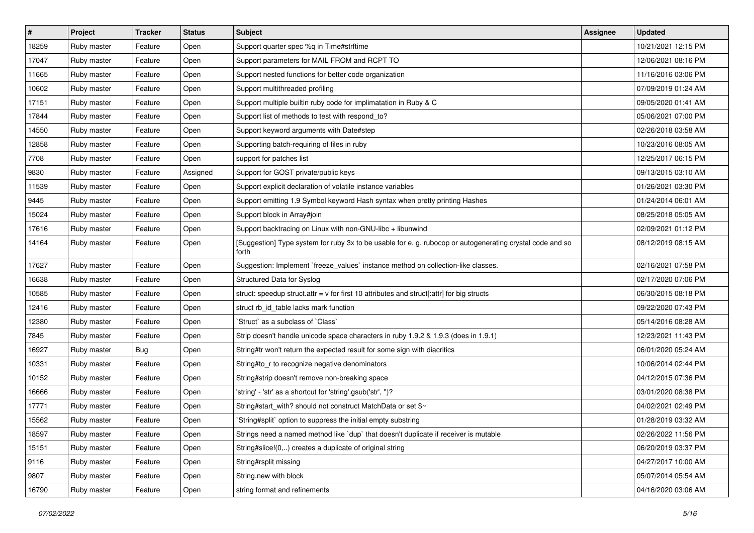| $\vert$ # | Project     | <b>Tracker</b> | <b>Status</b> | Subject                                                                                                            | <b>Assignee</b> | <b>Updated</b>      |
|-----------|-------------|----------------|---------------|--------------------------------------------------------------------------------------------------------------------|-----------------|---------------------|
| 18259     | Ruby master | Feature        | Open          | Support quarter spec %q in Time#strftime                                                                           |                 | 10/21/2021 12:15 PM |
| 17047     | Ruby master | Feature        | Open          | Support parameters for MAIL FROM and RCPT TO                                                                       |                 | 12/06/2021 08:16 PM |
| 11665     | Ruby master | Feature        | Open          | Support nested functions for better code organization                                                              |                 | 11/16/2016 03:06 PM |
| 10602     | Ruby master | Feature        | Open          | Support multithreaded profiling                                                                                    |                 | 07/09/2019 01:24 AM |
| 17151     | Ruby master | Feature        | Open          | Support multiple builtin ruby code for implimatation in Ruby & C                                                   |                 | 09/05/2020 01:41 AM |
| 17844     | Ruby master | Feature        | Open          | Support list of methods to test with respond_to?                                                                   |                 | 05/06/2021 07:00 PM |
| 14550     | Ruby master | Feature        | Open          | Support keyword arguments with Date#step                                                                           |                 | 02/26/2018 03:58 AM |
| 12858     | Ruby master | Feature        | Open          | Supporting batch-requiring of files in ruby                                                                        |                 | 10/23/2016 08:05 AM |
| 7708      | Ruby master | Feature        | Open          | support for patches list                                                                                           |                 | 12/25/2017 06:15 PM |
| 9830      | Ruby master | Feature        | Assigned      | Support for GOST private/public keys                                                                               |                 | 09/13/2015 03:10 AM |
| 11539     | Ruby master | Feature        | Open          | Support explicit declaration of volatile instance variables                                                        |                 | 01/26/2021 03:30 PM |
| 9445      | Ruby master | Feature        | Open          | Support emitting 1.9 Symbol keyword Hash syntax when pretty printing Hashes                                        |                 | 01/24/2014 06:01 AM |
| 15024     | Ruby master | Feature        | Open          | Support block in Array#join                                                                                        |                 | 08/25/2018 05:05 AM |
| 17616     | Ruby master | Feature        | Open          | Support backtracing on Linux with non-GNU-libc + libunwind                                                         |                 | 02/09/2021 01:12 PM |
| 14164     | Ruby master | Feature        | Open          | [Suggestion] Type system for ruby 3x to be usable for e. g. rubocop or autogenerating crystal code and so<br>forth |                 | 08/12/2019 08:15 AM |
| 17627     | Ruby master | Feature        | Open          | Suggestion: Implement `freeze_values` instance method on collection-like classes.                                  |                 | 02/16/2021 07:58 PM |
| 16638     | Ruby master | Feature        | Open          | Structured Data for Syslog                                                                                         |                 | 02/17/2020 07:06 PM |
| 10585     | Ruby master | Feature        | Open          | struct: speedup struct.attr = $v$ for first 10 attributes and struct[:attr] for big structs                        |                 | 06/30/2015 08:18 PM |
| 12416     | Ruby master | Feature        | Open          | struct rb_id_table lacks mark function                                                                             |                 | 09/22/2020 07:43 PM |
| 12380     | Ruby master | Feature        | Open          | Struct` as a subclass of `Class`                                                                                   |                 | 05/14/2016 08:28 AM |
| 7845      | Ruby master | Feature        | Open          | Strip doesn't handle unicode space characters in ruby 1.9.2 & 1.9.3 (does in 1.9.1)                                |                 | 12/23/2021 11:43 PM |
| 16927     | Ruby master | Bug            | Open          | String#tr won't return the expected result for some sign with diacritics                                           |                 | 06/01/2020 05:24 AM |
| 10331     | Ruby master | Feature        | Open          | String#to_r to recognize negative denominators                                                                     |                 | 10/06/2014 02:44 PM |
| 10152     | Ruby master | Feature        | Open          | String#strip doesn't remove non-breaking space                                                                     |                 | 04/12/2015 07:36 PM |
| 16666     | Ruby master | Feature        | Open          | 'string' - 'str' as a shortcut for 'string'.gsub('str', ")?                                                        |                 | 03/01/2020 08:38 PM |
| 17771     | Ruby master | Feature        | Open          | String#start_with? should not construct MatchData or set \$~                                                       |                 | 04/02/2021 02:49 PM |
| 15562     | Ruby master | Feature        | Open          | String#split` option to suppress the initial empty substring                                                       |                 | 01/28/2019 03:32 AM |
| 18597     | Ruby master | Feature        | Open          | Strings need a named method like `dup` that doesn't duplicate if receiver is mutable                               |                 | 02/26/2022 11:56 PM |
| 15151     | Ruby master | Feature        | Open          | String#slice!(0,) creates a duplicate of original string                                                           |                 | 06/20/2019 03:37 PM |
| 9116      | Ruby master | Feature        | Open          | String#rsplit missing                                                                                              |                 | 04/27/2017 10:00 AM |
| 9807      | Ruby master | Feature        | Open          | String.new with block                                                                                              |                 | 05/07/2014 05:54 AM |
| 16790     | Ruby master | Feature        | Open          | string format and refinements                                                                                      |                 | 04/16/2020 03:06 AM |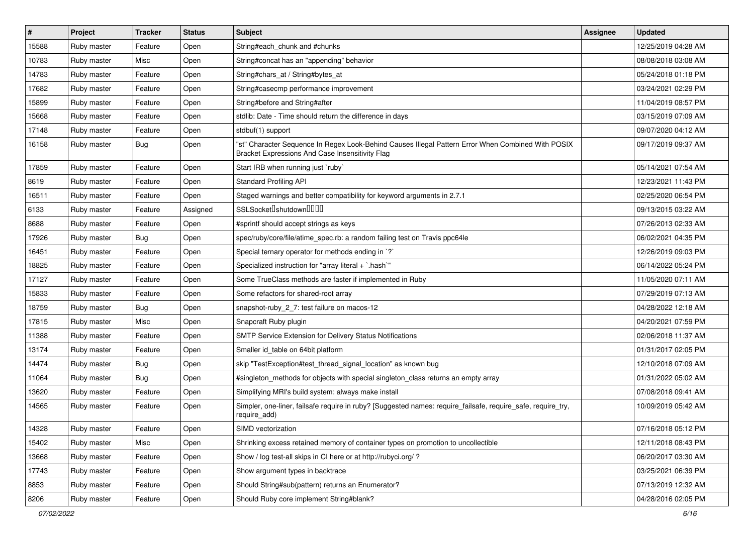| $\vert$ # | Project     | <b>Tracker</b> | <b>Status</b> | <b>Subject</b>                                                                                                                                        | <b>Assignee</b> | <b>Updated</b>      |
|-----------|-------------|----------------|---------------|-------------------------------------------------------------------------------------------------------------------------------------------------------|-----------------|---------------------|
| 15588     | Ruby master | Feature        | Open          | String#each_chunk and #chunks                                                                                                                         |                 | 12/25/2019 04:28 AM |
| 10783     | Ruby master | Misc           | Open          | String#concat has an "appending" behavior                                                                                                             |                 | 08/08/2018 03:08 AM |
| 14783     | Ruby master | Feature        | Open          | String#chars_at / String#bytes_at                                                                                                                     |                 | 05/24/2018 01:18 PM |
| 17682     | Ruby master | Feature        | Open          | String#casecmp performance improvement                                                                                                                |                 | 03/24/2021 02:29 PM |
| 15899     | Ruby master | Feature        | Open          | String#before and String#after                                                                                                                        |                 | 11/04/2019 08:57 PM |
| 15668     | Ruby master | Feature        | Open          | stdlib: Date - Time should return the difference in days                                                                                              |                 | 03/15/2019 07:09 AM |
| 17148     | Ruby master | Feature        | Open          | stdbuf(1) support                                                                                                                                     |                 | 09/07/2020 04:12 AM |
| 16158     | Ruby master | <b>Bug</b>     | Open          | "st" Character Sequence In Regex Look-Behind Causes Illegal Pattern Error When Combined With POSIX<br>Bracket Expressions And Case Insensitivity Flag |                 | 09/17/2019 09:37 AM |
| 17859     | Ruby master | Feature        | Open          | Start IRB when running just `ruby`                                                                                                                    |                 | 05/14/2021 07:54 AM |
| 8619      | Ruby master | Feature        | Open          | <b>Standard Profiling API</b>                                                                                                                         |                 | 12/23/2021 11:43 PM |
| 16511     | Ruby master | Feature        | Open          | Staged warnings and better compatibility for keyword arguments in 2.7.1                                                                               |                 | 02/25/2020 06:54 PM |
| 6133      | Ruby master | Feature        | Assigned      | SSLSocket <sup>[]</sup> shutdown <sup>[][][]</sup>                                                                                                    |                 | 09/13/2015 03:22 AM |
| 8688      | Ruby master | Feature        | Open          | #sprintf should accept strings as keys                                                                                                                |                 | 07/26/2013 02:33 AM |
| 17926     | Ruby master | Bug            | Open          | spec/ruby/core/file/atime_spec.rb: a random failing test on Travis ppc64le                                                                            |                 | 06/02/2021 04:35 PM |
| 16451     | Ruby master | Feature        | Open          | Special ternary operator for methods ending in `?`                                                                                                    |                 | 12/26/2019 09:03 PM |
| 18825     | Ruby master | Feature        | Open          | Specialized instruction for "array literal + `.hash`"                                                                                                 |                 | 06/14/2022 05:24 PM |
| 17127     | Ruby master | Feature        | Open          | Some TrueClass methods are faster if implemented in Ruby                                                                                              |                 | 11/05/2020 07:11 AM |
| 15833     | Ruby master | Feature        | Open          | Some refactors for shared-root array                                                                                                                  |                 | 07/29/2019 07:13 AM |
| 18759     | Ruby master | Bug            | Open          | snapshot-ruby_2_7: test failure on macos-12                                                                                                           |                 | 04/28/2022 12:18 AM |
| 17815     | Ruby master | Misc           | Open          | Snapcraft Ruby plugin                                                                                                                                 |                 | 04/20/2021 07:59 PM |
| 11388     | Ruby master | Feature        | Open          | SMTP Service Extension for Delivery Status Notifications                                                                                              |                 | 02/06/2018 11:37 AM |
| 13174     | Ruby master | Feature        | Open          | Smaller id_table on 64bit platform                                                                                                                    |                 | 01/31/2017 02:05 PM |
| 14474     | Ruby master | <b>Bug</b>     | Open          | skip "TestException#test thread signal location" as known bug                                                                                         |                 | 12/10/2018 07:09 AM |
| 11064     | Ruby master | <b>Bug</b>     | Open          | #singleton_methods for objects with special singleton_class returns an empty array                                                                    |                 | 01/31/2022 05:02 AM |
| 13620     | Ruby master | Feature        | Open          | Simplifying MRI's build system: always make install                                                                                                   |                 | 07/08/2018 09:41 AM |
| 14565     | Ruby master | Feature        | Open          | Simpler, one-liner, failsafe require in ruby? [Suggested names: require_failsafe, require_safe, require_try,<br>require_add)                          |                 | 10/09/2019 05:42 AM |
| 14328     | Ruby master | Feature        | Open          | SIMD vectorization                                                                                                                                    |                 | 07/16/2018 05:12 PM |
| 15402     | Ruby master | Misc           | Open          | Shrinking excess retained memory of container types on promotion to uncollectible                                                                     |                 | 12/11/2018 08:43 PM |
| 13668     | Ruby master | Feature        | Open          | Show / log test-all skips in CI here or at http://rubyci.org/?                                                                                        |                 | 06/20/2017 03:30 AM |
| 17743     | Ruby master | Feature        | Open          | Show argument types in backtrace                                                                                                                      |                 | 03/25/2021 06:39 PM |
| 8853      | Ruby master | Feature        | Open          | Should String#sub(pattern) returns an Enumerator?                                                                                                     |                 | 07/13/2019 12:32 AM |
| 8206      | Ruby master | Feature        | Open          | Should Ruby core implement String#blank?                                                                                                              |                 | 04/28/2016 02:05 PM |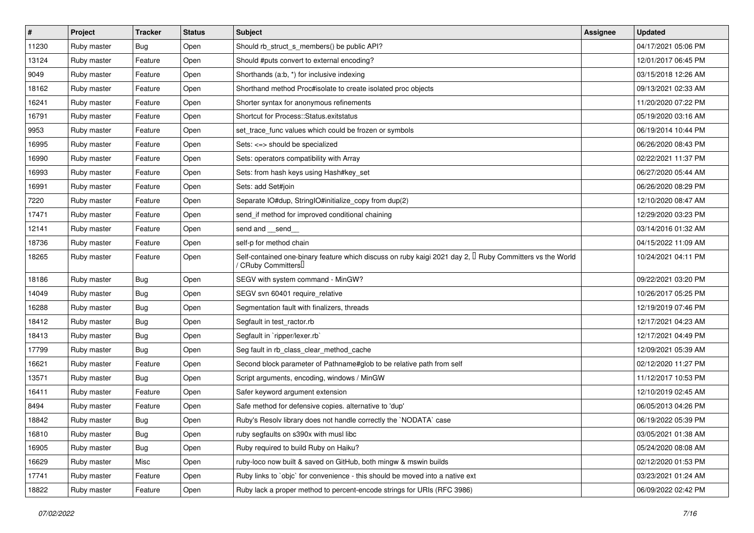| $\sharp$ | <b>Project</b> | <b>Tracker</b> | <b>Status</b> | Subject                                                                                                                                     | <b>Assignee</b> | <b>Updated</b>      |
|----------|----------------|----------------|---------------|---------------------------------------------------------------------------------------------------------------------------------------------|-----------------|---------------------|
| 11230    | Ruby master    | Bug            | Open          | Should rb_struct_s_members() be public API?                                                                                                 |                 | 04/17/2021 05:06 PM |
| 13124    | Ruby master    | Feature        | Open          | Should #puts convert to external encoding?                                                                                                  |                 | 12/01/2017 06:45 PM |
| 9049     | Ruby master    | Feature        | Open          | Shorthands (a:b, *) for inclusive indexing                                                                                                  |                 | 03/15/2018 12:26 AM |
| 18162    | Ruby master    | Feature        | Open          | Shorthand method Proc#isolate to create isolated proc objects                                                                               |                 | 09/13/2021 02:33 AM |
| 16241    | Ruby master    | Feature        | Open          | Shorter syntax for anonymous refinements                                                                                                    |                 | 11/20/2020 07:22 PM |
| 16791    | Ruby master    | Feature        | Open          | Shortcut for Process::Status.exitstatus                                                                                                     |                 | 05/19/2020 03:16 AM |
| 9953     | Ruby master    | Feature        | Open          | set_trace_func values which could be frozen or symbols                                                                                      |                 | 06/19/2014 10:44 PM |
| 16995    | Ruby master    | Feature        | Open          | Sets: <=> should be specialized                                                                                                             |                 | 06/26/2020 08:43 PM |
| 16990    | Ruby master    | Feature        | Open          | Sets: operators compatibility with Array                                                                                                    |                 | 02/22/2021 11:37 PM |
| 16993    | Ruby master    | Feature        | Open          | Sets: from hash keys using Hash#key_set                                                                                                     |                 | 06/27/2020 05:44 AM |
| 16991    | Ruby master    | Feature        | Open          | Sets: add Set#join                                                                                                                          |                 | 06/26/2020 08:29 PM |
| 7220     | Ruby master    | Feature        | Open          | Separate IO#dup, StringIO#initialize_copy from dup(2)                                                                                       |                 | 12/10/2020 08:47 AM |
| 17471    | Ruby master    | Feature        | Open          | send_if method for improved conditional chaining                                                                                            |                 | 12/29/2020 03:23 PM |
| 12141    | Ruby master    | Feature        | Open          | send and __send_                                                                                                                            |                 | 03/14/2016 01:32 AM |
| 18736    | Ruby master    | Feature        | Open          | self-p for method chain                                                                                                                     |                 | 04/15/2022 11:09 AM |
| 18265    | Ruby master    | Feature        | Open          | Self-contained one-binary feature which discuss on ruby kaigi 2021 day 2, <sup>[]</sup> Ruby Committers vs the World<br>/ CRuby Committers∐ |                 | 10/24/2021 04:11 PM |
| 18186    | Ruby master    | <b>Bug</b>     | Open          | SEGV with system command - MinGW?                                                                                                           |                 | 09/22/2021 03:20 PM |
| 14049    | Ruby master    | Bug            | Open          | SEGV svn 60401 require relative                                                                                                             |                 | 10/26/2017 05:25 PM |
| 16288    | Ruby master    | <b>Bug</b>     | Open          | Segmentation fault with finalizers, threads                                                                                                 |                 | 12/19/2019 07:46 PM |
| 18412    | Ruby master    | Bug            | Open          | Segfault in test_ractor.rb                                                                                                                  |                 | 12/17/2021 04:23 AM |
| 18413    | Ruby master    | <b>Bug</b>     | Open          | Segfault in `ripper/lexer.rb`                                                                                                               |                 | 12/17/2021 04:49 PM |
| 17799    | Ruby master    | Bug            | Open          | Seg fault in rb_class_clear_method_cache                                                                                                    |                 | 12/09/2021 05:39 AM |
| 16621    | Ruby master    | Feature        | Open          | Second block parameter of Pathname#glob to be relative path from self                                                                       |                 | 02/12/2020 11:27 PM |
| 13571    | Ruby master    | Bug            | Open          | Script arguments, encoding, windows / MinGW                                                                                                 |                 | 11/12/2017 10:53 PM |
| 16411    | Ruby master    | Feature        | Open          | Safer keyword argument extension                                                                                                            |                 | 12/10/2019 02:45 AM |
| 8494     | Ruby master    | Feature        | Open          | Safe method for defensive copies. alternative to 'dup'                                                                                      |                 | 06/05/2013 04:26 PM |
| 18842    | Ruby master    | Bug            | Open          | Ruby's Resolv library does not handle correctly the `NODATA` case                                                                           |                 | 06/19/2022 05:39 PM |
| 16810    | Ruby master    | <b>Bug</b>     | Open          | ruby segfaults on s390x with musl libc                                                                                                      |                 | 03/05/2021 01:38 AM |
| 16905    | Ruby master    | <b>Bug</b>     | Open          | Ruby required to build Ruby on Haiku?                                                                                                       |                 | 05/24/2020 08:08 AM |
| 16629    | Ruby master    | Misc           | Open          | ruby-loco now built & saved on GitHub, both mingw & mswin builds                                                                            |                 | 02/12/2020 01:53 PM |
| 17741    | Ruby master    | Feature        | Open          | Ruby links to `objc` for convenience - this should be moved into a native ext                                                               |                 | 03/23/2021 01:24 AM |
| 18822    | Ruby master    | Feature        | Open          | Ruby lack a proper method to percent-encode strings for URIs (RFC 3986)                                                                     |                 | 06/09/2022 02:42 PM |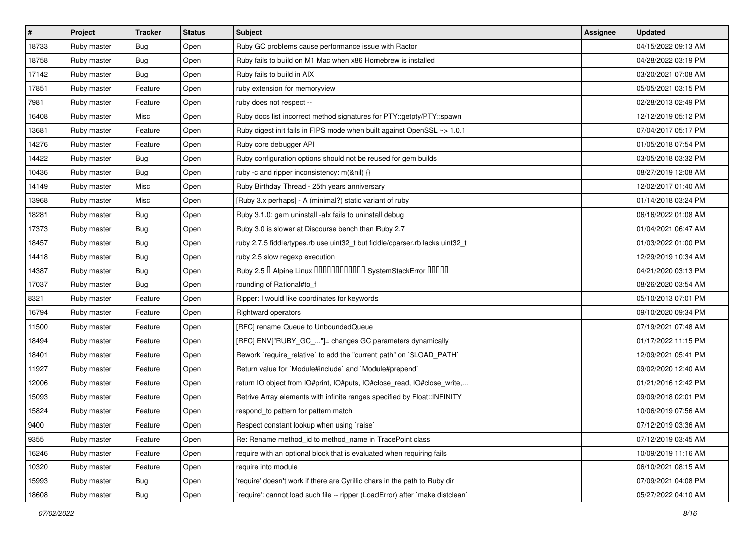| #     | Project     | <b>Tracker</b> | <b>Status</b> | Subject                                                                       | <b>Assignee</b> | <b>Updated</b>      |
|-------|-------------|----------------|---------------|-------------------------------------------------------------------------------|-----------------|---------------------|
| 18733 | Ruby master | <b>Bug</b>     | Open          | Ruby GC problems cause performance issue with Ractor                          |                 | 04/15/2022 09:13 AM |
| 18758 | Ruby master | Bug            | Open          | Ruby fails to build on M1 Mac when x86 Homebrew is installed                  |                 | 04/28/2022 03:19 PM |
| 17142 | Ruby master | Bug            | Open          | Ruby fails to build in AIX                                                    |                 | 03/20/2021 07:08 AM |
| 17851 | Ruby master | Feature        | Open          | ruby extension for memoryview                                                 |                 | 05/05/2021 03:15 PM |
| 7981  | Ruby master | Feature        | Open          | ruby does not respect --                                                      |                 | 02/28/2013 02:49 PM |
| 16408 | Ruby master | Misc           | Open          | Ruby docs list incorrect method signatures for PTY::getpty/PTY::spawn         |                 | 12/12/2019 05:12 PM |
| 13681 | Ruby master | Feature        | Open          | Ruby digest init fails in FIPS mode when built against OpenSSL ~> 1.0.1       |                 | 07/04/2017 05:17 PM |
| 14276 | Ruby master | Feature        | Open          | Ruby core debugger API                                                        |                 | 01/05/2018 07:54 PM |
| 14422 | Ruby master | Bug            | Open          | Ruby configuration options should not be reused for gem builds                |                 | 03/05/2018 03:32 PM |
| 10436 | Ruby master | Bug            | Open          | ruby -c and ripper inconsistency: m(&nil) {}                                  |                 | 08/27/2019 12:08 AM |
| 14149 | Ruby master | Misc           | Open          | Ruby Birthday Thread - 25th years anniversary                                 |                 | 12/02/2017 01:40 AM |
| 13968 | Ruby master | Misc           | Open          | [Ruby 3.x perhaps] - A (minimal?) static variant of ruby                      |                 | 01/14/2018 03:24 PM |
| 18281 | Ruby master | Bug            | Open          | Ruby 3.1.0: gem uninstall -alx fails to uninstall debug                       |                 | 06/16/2022 01:08 AM |
| 17373 | Ruby master | Bug            | Open          | Ruby 3.0 is slower at Discourse bench than Ruby 2.7                           |                 | 01/04/2021 06:47 AM |
| 18457 | Ruby master | <b>Bug</b>     | Open          | ruby 2.7.5 fiddle/types.rb use uint32_t but fiddle/cparser.rb lacks uint32_t  |                 | 01/03/2022 01:00 PM |
| 14418 | Ruby master | Bug            | Open          | ruby 2.5 slow regexp execution                                                |                 | 12/29/2019 10:34 AM |
| 14387 | Ruby master | Bug            | Open          | Ruby 2.5 <sup>D</sup> Alpine Linux 000000000000 SystemStackError 00000        |                 | 04/21/2020 03:13 PM |
| 17037 | Ruby master | <b>Bug</b>     | Open          | rounding of Rational#to_f                                                     |                 | 08/26/2020 03:54 AM |
| 8321  | Ruby master | Feature        | Open          | Ripper: I would like coordinates for keywords                                 |                 | 05/10/2013 07:01 PM |
| 16794 | Ruby master | Feature        | Open          | Rightward operators                                                           |                 | 09/10/2020 09:34 PM |
| 11500 | Ruby master | Feature        | Open          | [RFC] rename Queue to UnboundedQueue                                          |                 | 07/19/2021 07:48 AM |
| 18494 | Ruby master | Feature        | Open          | [RFC] ENV["RUBY_GC_"]= changes GC parameters dynamically                      |                 | 01/17/2022 11:15 PM |
| 18401 | Ruby master | Feature        | Open          | Rework `require_relative` to add the "current path" on `\$LOAD_PATH`          |                 | 12/09/2021 05:41 PM |
| 11927 | Ruby master | Feature        | Open          | Return value for `Module#include` and `Module#prepend`                        |                 | 09/02/2020 12:40 AM |
| 12006 | Ruby master | Feature        | Open          | return IO object from IO#print, IO#puts, IO#close_read, IO#close_write,       |                 | 01/21/2016 12:42 PM |
| 15093 | Ruby master | Feature        | Open          | Retrive Array elements with infinite ranges specified by Float::INFINITY      |                 | 09/09/2018 02:01 PM |
| 15824 | Ruby master | Feature        | Open          | respond_to pattern for pattern match                                          |                 | 10/06/2019 07:56 AM |
| 9400  | Ruby master | Feature        | Open          | Respect constant lookup when using `raise`                                    |                 | 07/12/2019 03:36 AM |
| 9355  | Ruby master | Feature        | Open          | Re: Rename method_id to method_name in TracePoint class                       |                 | 07/12/2019 03:45 AM |
| 16246 | Ruby master | Feature        | Open          | require with an optional block that is evaluated when requiring fails         |                 | 10/09/2019 11:16 AM |
| 10320 | Ruby master | Feature        | Open          | require into module                                                           |                 | 06/10/2021 08:15 AM |
| 15993 | Ruby master | <b>Bug</b>     | Open          | 'require' doesn't work if there are Cyrillic chars in the path to Ruby dir    |                 | 07/09/2021 04:08 PM |
| 18608 | Ruby master | <b>Bug</b>     | Open          | 'require': cannot load such file -- ripper (LoadError) after 'make distclean' |                 | 05/27/2022 04:10 AM |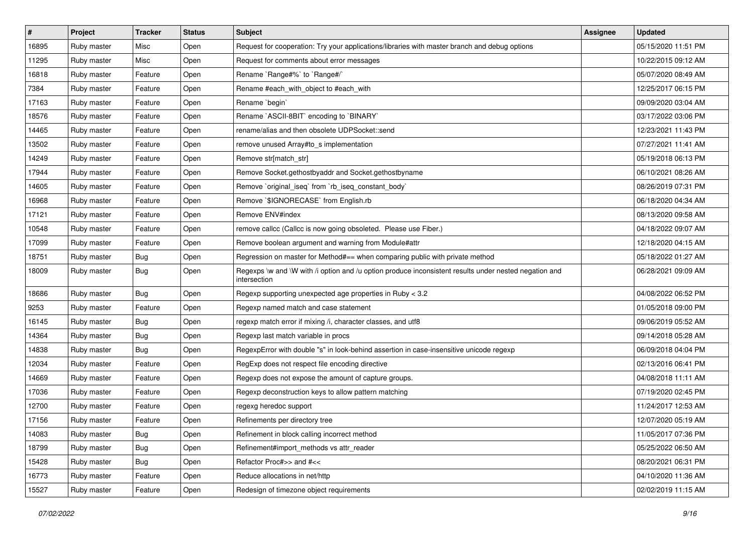| $\vert$ # | Project     | <b>Tracker</b> | <b>Status</b> | Subject                                                                                                               | <b>Assignee</b> | <b>Updated</b>      |
|-----------|-------------|----------------|---------------|-----------------------------------------------------------------------------------------------------------------------|-----------------|---------------------|
| 16895     | Ruby master | Misc           | Open          | Request for cooperation: Try your applications/libraries with master branch and debug options                         |                 | 05/15/2020 11:51 PM |
| 11295     | Ruby master | Misc           | Open          | Request for comments about error messages                                                                             |                 | 10/22/2015 09:12 AM |
| 16818     | Ruby master | Feature        | Open          | Rename `Range#%` to `Range#/`                                                                                         |                 | 05/07/2020 08:49 AM |
| 7384      | Ruby master | Feature        | Open          | Rename #each_with_object to #each_with                                                                                |                 | 12/25/2017 06:15 PM |
| 17163     | Ruby master | Feature        | Open          | Rename 'begin'                                                                                                        |                 | 09/09/2020 03:04 AM |
| 18576     | Ruby master | Feature        | Open          | Rename `ASCII-8BIT` encoding to `BINARY`                                                                              |                 | 03/17/2022 03:06 PM |
| 14465     | Ruby master | Feature        | Open          | rename/alias and then obsolete UDPSocket::send                                                                        |                 | 12/23/2021 11:43 PM |
| 13502     | Ruby master | Feature        | Open          | remove unused Array#to_s implementation                                                                               |                 | 07/27/2021 11:41 AM |
| 14249     | Ruby master | Feature        | Open          | Remove str[match_str]                                                                                                 |                 | 05/19/2018 06:13 PM |
| 17944     | Ruby master | Feature        | Open          | Remove Socket.gethostbyaddr and Socket.gethostbyname                                                                  |                 | 06/10/2021 08:26 AM |
| 14605     | Ruby master | Feature        | Open          | Remove `original_iseq` from `rb_iseq_constant_body`                                                                   |                 | 08/26/2019 07:31 PM |
| 16968     | Ruby master | Feature        | Open          | Remove `\$IGNORECASE` from English.rb                                                                                 |                 | 06/18/2020 04:34 AM |
| 17121     | Ruby master | Feature        | Open          | Remove ENV#index                                                                                                      |                 | 08/13/2020 09:58 AM |
| 10548     | Ruby master | Feature        | Open          | remove callcc (Callcc is now going obsoleted. Please use Fiber.)                                                      |                 | 04/18/2022 09:07 AM |
| 17099     | Ruby master | Feature        | Open          | Remove boolean argument and warning from Module#attr                                                                  |                 | 12/18/2020 04:15 AM |
| 18751     | Ruby master | <b>Bug</b>     | Open          | Regression on master for Method#== when comparing public with private method                                          |                 | 05/18/2022 01:27 AM |
| 18009     | Ruby master | <b>Bug</b>     | Open          | Regexps \w and \W with /i option and /u option produce inconsistent results under nested negation and<br>intersection |                 | 06/28/2021 09:09 AM |
| 18686     | Ruby master | Bug            | Open          | Regexp supporting unexpected age properties in Ruby < 3.2                                                             |                 | 04/08/2022 06:52 PM |
| 9253      | Ruby master | Feature        | Open          | Regexp named match and case statement                                                                                 |                 | 01/05/2018 09:00 PM |
| 16145     | Ruby master | <b>Bug</b>     | Open          | regexp match error if mixing /i, character classes, and utf8                                                          |                 | 09/06/2019 05:52 AM |
| 14364     | Ruby master | <b>Bug</b>     | Open          | Regexp last match variable in procs                                                                                   |                 | 09/14/2018 05:28 AM |
| 14838     | Ruby master | <b>Bug</b>     | Open          | RegexpError with double "s" in look-behind assertion in case-insensitive unicode regexp                               |                 | 06/09/2018 04:04 PM |
| 12034     | Ruby master | Feature        | Open          | RegExp does not respect file encoding directive                                                                       |                 | 02/13/2016 06:41 PM |
| 14669     | Ruby master | Feature        | Open          | Regexp does not expose the amount of capture groups.                                                                  |                 | 04/08/2018 11:11 AM |
| 17036     | Ruby master | Feature        | Open          | Regexp deconstruction keys to allow pattern matching                                                                  |                 | 07/19/2020 02:45 PM |
| 12700     | Ruby master | Feature        | Open          | regexg heredoc support                                                                                                |                 | 11/24/2017 12:53 AM |
| 17156     | Ruby master | Feature        | Open          | Refinements per directory tree                                                                                        |                 | 12/07/2020 05:19 AM |
| 14083     | Ruby master | <b>Bug</b>     | Open          | Refinement in block calling incorrect method                                                                          |                 | 11/05/2017 07:36 PM |
| 18799     | Ruby master | <b>Bug</b>     | Open          | Refinement#import_methods vs attr_reader                                                                              |                 | 05/25/2022 06:50 AM |
| 15428     | Ruby master | i Bug          | Open          | Refactor Proc#>> and #<<                                                                                              |                 | 08/20/2021 06:31 PM |
| 16773     | Ruby master | Feature        | Open          | Reduce allocations in net/http                                                                                        |                 | 04/10/2020 11:36 AM |
| 15527     | Ruby master | Feature        | Open          | Redesign of timezone object requirements                                                                              |                 | 02/02/2019 11:15 AM |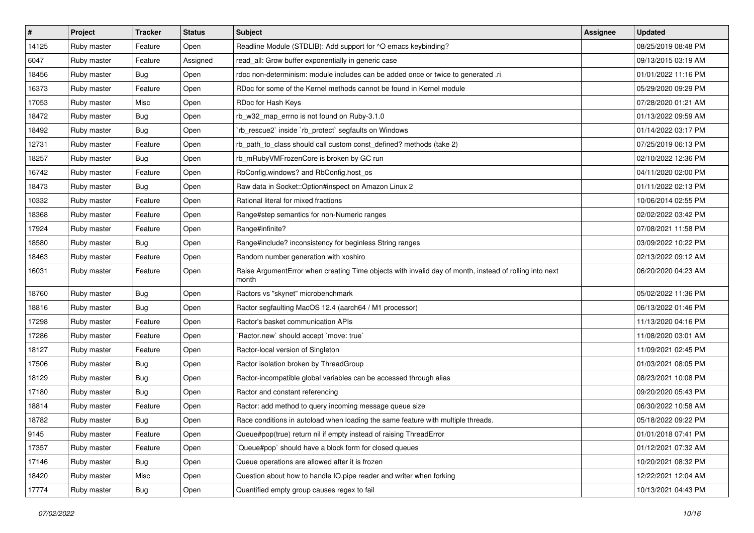| $\vert$ # | Project     | <b>Tracker</b> | <b>Status</b> | <b>Subject</b>                                                                                                  | <b>Assignee</b> | <b>Updated</b>      |
|-----------|-------------|----------------|---------------|-----------------------------------------------------------------------------------------------------------------|-----------------|---------------------|
| 14125     | Ruby master | Feature        | Open          | Readline Module (STDLIB): Add support for ^O emacs keybinding?                                                  |                 | 08/25/2019 08:48 PM |
| 6047      | Ruby master | Feature        | Assigned      | read_all: Grow buffer exponentially in generic case                                                             |                 | 09/13/2015 03:19 AM |
| 18456     | Ruby master | <b>Bug</b>     | Open          | rdoc non-determinism: module includes can be added once or twice to generated .ri                               |                 | 01/01/2022 11:16 PM |
| 16373     | Ruby master | Feature        | Open          | RDoc for some of the Kernel methods cannot be found in Kernel module                                            |                 | 05/29/2020 09:29 PM |
| 17053     | Ruby master | Misc           | Open          | RDoc for Hash Keys                                                                                              |                 | 07/28/2020 01:21 AM |
| 18472     | Ruby master | <b>Bug</b>     | Open          | rb_w32_map_errno is not found on Ruby-3.1.0                                                                     |                 | 01/13/2022 09:59 AM |
| 18492     | Ruby master | Bug            | Open          | rb_rescue2` inside `rb_protect` segfaults on Windows                                                            |                 | 01/14/2022 03:17 PM |
| 12731     | Ruby master | Feature        | Open          | rb_path_to_class should call custom const_defined? methods (take 2)                                             |                 | 07/25/2019 06:13 PM |
| 18257     | Ruby master | <b>Bug</b>     | Open          | rb_mRubyVMFrozenCore is broken by GC run                                                                        |                 | 02/10/2022 12:36 PM |
| 16742     | Ruby master | Feature        | Open          | RbConfig.windows? and RbConfig.host_os                                                                          |                 | 04/11/2020 02:00 PM |
| 18473     | Ruby master | <b>Bug</b>     | Open          | Raw data in Socket:: Option#inspect on Amazon Linux 2                                                           |                 | 01/11/2022 02:13 PM |
| 10332     | Ruby master | Feature        | Open          | Rational literal for mixed fractions                                                                            |                 | 10/06/2014 02:55 PM |
| 18368     | Ruby master | Feature        | Open          | Range#step semantics for non-Numeric ranges                                                                     |                 | 02/02/2022 03:42 PM |
| 17924     | Ruby master | Feature        | Open          | Range#infinite?                                                                                                 |                 | 07/08/2021 11:58 PM |
| 18580     | Ruby master | Bug            | Open          | Range#include? inconsistency for beginless String ranges                                                        |                 | 03/09/2022 10:22 PM |
| 18463     | Ruby master | Feature        | Open          | Random number generation with xoshiro                                                                           |                 | 02/13/2022 09:12 AM |
| 16031     | Ruby master | Feature        | Open          | Raise ArgumentError when creating Time objects with invalid day of month, instead of rolling into next<br>month |                 | 06/20/2020 04:23 AM |
| 18760     | Ruby master | <b>Bug</b>     | Open          | Ractors vs "skynet" microbenchmark                                                                              |                 | 05/02/2022 11:36 PM |
| 18816     | Ruby master | <b>Bug</b>     | Open          | Ractor segfaulting MacOS 12.4 (aarch64 / M1 processor)                                                          |                 | 06/13/2022 01:46 PM |
| 17298     | Ruby master | Feature        | Open          | Ractor's basket communication APIs                                                                              |                 | 11/13/2020 04:16 PM |
| 17286     | Ruby master | Feature        | Open          | Ractor.new' should accept 'move: true'                                                                          |                 | 11/08/2020 03:01 AM |
| 18127     | Ruby master | Feature        | Open          | Ractor-local version of Singleton                                                                               |                 | 11/09/2021 02:45 PM |
| 17506     | Ruby master | <b>Bug</b>     | Open          | Ractor isolation broken by ThreadGroup                                                                          |                 | 01/03/2021 08:05 PM |
| 18129     | Ruby master | <b>Bug</b>     | Open          | Ractor-incompatible global variables can be accessed through alias                                              |                 | 08/23/2021 10:08 PM |
| 17180     | Ruby master | <b>Bug</b>     | Open          | Ractor and constant referencing                                                                                 |                 | 09/20/2020 05:43 PM |
| 18814     | Ruby master | Feature        | Open          | Ractor: add method to query incoming message queue size                                                         |                 | 06/30/2022 10:58 AM |
| 18782     | Ruby master | <b>Bug</b>     | Open          | Race conditions in autoload when loading the same feature with multiple threads.                                |                 | 05/18/2022 09:22 PM |
| 9145      | Ruby master | Feature        | Open          | Queue#pop(true) return nil if empty instead of raising ThreadError                                              |                 | 01/01/2018 07:41 PM |
| 17357     | Ruby master | Feature        | Open          | Queue#pop` should have a block form for closed queues                                                           |                 | 01/12/2021 07:32 AM |
| 17146     | Ruby master | <b>Bug</b>     | Open          | Queue operations are allowed after it is frozen                                                                 |                 | 10/20/2021 08:32 PM |
| 18420     | Ruby master | Misc           | Open          | Question about how to handle IO.pipe reader and writer when forking                                             |                 | 12/22/2021 12:04 AM |
| 17774     | Ruby master | <b>Bug</b>     | Open          | Quantified empty group causes regex to fail                                                                     |                 | 10/13/2021 04:43 PM |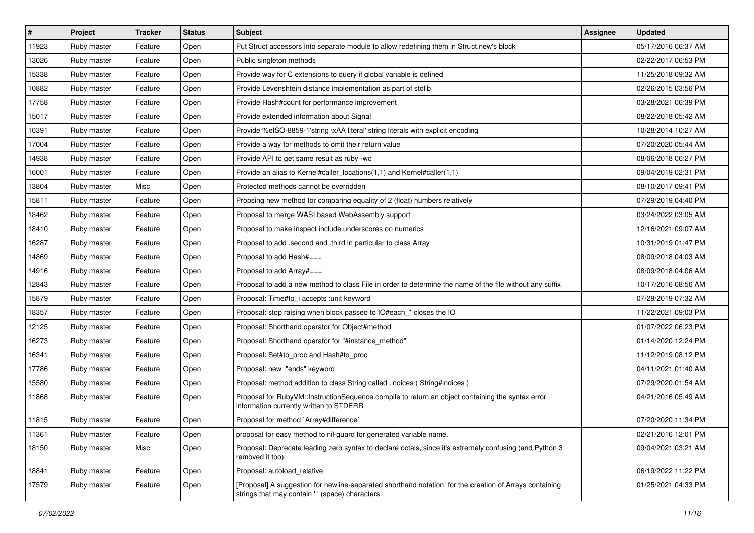| $\vert$ # | Project     | <b>Tracker</b> | <b>Status</b> | <b>Subject</b>                                                                                                                                             | <b>Assignee</b> | <b>Updated</b>      |
|-----------|-------------|----------------|---------------|------------------------------------------------------------------------------------------------------------------------------------------------------------|-----------------|---------------------|
| 11923     | Ruby master | Feature        | Open          | Put Struct accessors into separate module to allow redefining them in Struct.new's block                                                                   |                 | 05/17/2016 06:37 AM |
| 13026     | Ruby master | Feature        | Open          | Public singleton methods                                                                                                                                   |                 | 02/22/2017 06:53 PM |
| 15338     | Ruby master | Feature        | Open          | Provide way for C extensions to query if global variable is defined                                                                                        |                 | 11/25/2018 09:32 AM |
| 10882     | Ruby master | Feature        | Open          | Provide Levenshtein distance implementation as part of stdlib                                                                                              |                 | 02/26/2015 03:56 PM |
| 17758     | Ruby master | Feature        | Open          | Provide Hash#count for performance improvement                                                                                                             |                 | 03/28/2021 06:39 PM |
| 15017     | Ruby master | Feature        | Open          | Provide extended information about Signal                                                                                                                  |                 | 08/22/2018 05:42 AM |
| 10391     | Ruby master | Feature        | Open          | Provide %eISO-8859-1'string \xAA literal' string literals with explicit encoding                                                                           |                 | 10/28/2014 10:27 AM |
| 17004     | Ruby master | Feature        | Open          | Provide a way for methods to omit their return value                                                                                                       |                 | 07/20/2020 05:44 AM |
| 14938     | Ruby master | Feature        | Open          | Provide API to get same result as ruby -wc                                                                                                                 |                 | 08/06/2018 06:27 PM |
| 16001     | Ruby master | Feature        | Open          | Provide an alias to Kernel#caller_locations(1,1) and Kernel#caller(1,1)                                                                                    |                 | 09/04/2019 02:31 PM |
| 13804     | Ruby master | Misc           | Open          | Protected methods cannot be overridden                                                                                                                     |                 | 08/10/2017 09:41 PM |
| 15811     | Ruby master | Feature        | Open          | Propsing new method for comparing equality of 2 (float) numbers relatively                                                                                 |                 | 07/29/2019 04:40 PM |
| 18462     | Ruby master | Feature        | Open          | Proposal to merge WASI based WebAssembly support                                                                                                           |                 | 03/24/2022 03:05 AM |
| 18410     | Ruby master | Feature        | Open          | Proposal to make inspect include underscores on numerics                                                                                                   |                 | 12/16/2021 09:07 AM |
| 16287     | Ruby master | Feature        | Open          | Proposal to add .second and .third in particular to class Array                                                                                            |                 | 10/31/2019 01:47 PM |
| 14869     | Ruby master | Feature        | Open          | Proposal to add Hash#===                                                                                                                                   |                 | 08/09/2018 04:03 AM |
| 14916     | Ruby master | Feature        | Open          | Proposal to add Array#===                                                                                                                                  |                 | 08/09/2018 04:06 AM |
| 12843     | Ruby master | Feature        | Open          | Proposal to add a new method to class File in order to determine the name of the file without any suffix                                                   |                 | 10/17/2016 08:56 AM |
| 15879     | Ruby master | Feature        | Open          | Proposal: Time#to i accepts : unit keyword                                                                                                                 |                 | 07/29/2019 07:32 AM |
| 18357     | Ruby master | Feature        | Open          | Proposal: stop raising when block passed to IO#each_* closes the IO                                                                                        |                 | 11/22/2021 09:03 PM |
| 12125     | Ruby master | Feature        | Open          | Proposal: Shorthand operator for Object#method                                                                                                             |                 | 01/07/2022 06:23 PM |
| 16273     | Ruby master | Feature        | Open          | Proposal: Shorthand operator for "#instance_method"                                                                                                        |                 | 01/14/2020 12:24 PM |
| 16341     | Ruby master | Feature        | Open          | Proposal: Set#to_proc and Hash#to_proc                                                                                                                     |                 | 11/12/2019 08:12 PM |
| 17786     | Ruby master | Feature        | Open          | Proposal: new "ends" keyword                                                                                                                               |                 | 04/11/2021 01:40 AM |
| 15580     | Ruby master | Feature        | Open          | Proposal: method addition to class String called .indices (String#indices)                                                                                 |                 | 07/29/2020 01:54 AM |
| 11868     | Ruby master | Feature        | Open          | Proposal for RubyVM::InstructionSequence.compile to return an object containing the syntax error<br>information currently written to STDERR                |                 | 04/21/2016 05:49 AM |
| 11815     | Ruby master | Feature        | Open          | Proposal for method `Array#difference`                                                                                                                     |                 | 07/20/2020 11:34 PM |
| 11361     | Ruby master | Feature        | Open          | proposal for easy method to nil-guard for generated variable name.                                                                                         |                 | 02/21/2016 12:01 PM |
| 18150     | Ruby master | Misc           | Open          | Proposal: Deprecate leading zero syntax to declare octals, since it's extremely confusing (and Python 3<br>removed it too)                                 |                 | 09/04/2021 03:21 AM |
| 18841     | Ruby master | Feature        | Open          | Proposal: autoload_relative                                                                                                                                |                 | 06/19/2022 11:22 PM |
| 17579     | Ruby master | Feature        | Open          | [Proposal] A suggestion for newline-separated shorthand notation, for the creation of Arrays containing<br>strings that may contain ' ' (space) characters |                 | 01/25/2021 04:33 PM |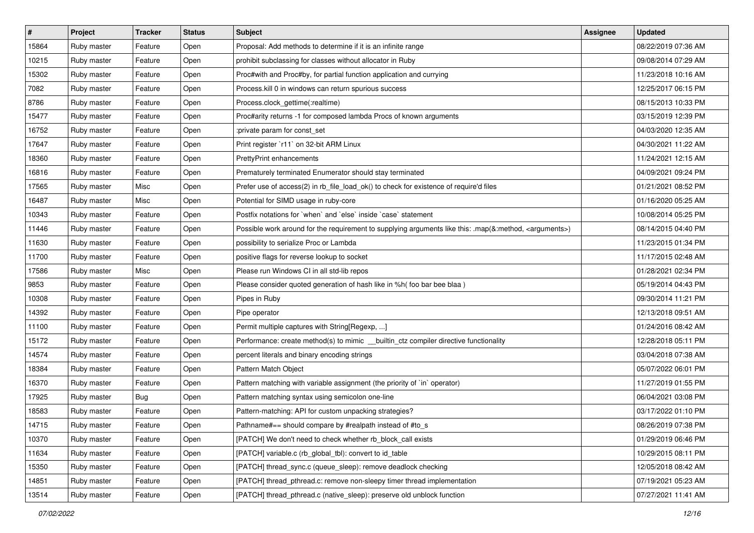| $\vert$ # | Project     | <b>Tracker</b> | <b>Status</b> | <b>Subject</b>                                                                                                     | <b>Assignee</b> | <b>Updated</b>      |
|-----------|-------------|----------------|---------------|--------------------------------------------------------------------------------------------------------------------|-----------------|---------------------|
| 15864     | Ruby master | Feature        | Open          | Proposal: Add methods to determine if it is an infinite range                                                      |                 | 08/22/2019 07:36 AM |
| 10215     | Ruby master | Feature        | Open          | prohibit subclassing for classes without allocator in Ruby                                                         |                 | 09/08/2014 07:29 AM |
| 15302     | Ruby master | Feature        | Open          | Proc#with and Proc#by, for partial function application and currying                                               |                 | 11/23/2018 10:16 AM |
| 7082      | Ruby master | Feature        | Open          | Process.kill 0 in windows can return spurious success                                                              |                 | 12/25/2017 06:15 PM |
| 8786      | Ruby master | Feature        | Open          | Process.clock_gettime(:realtime)                                                                                   |                 | 08/15/2013 10:33 PM |
| 15477     | Ruby master | Feature        | Open          | Proc#arity returns -1 for composed lambda Procs of known arguments                                                 |                 | 03/15/2019 12:39 PM |
| 16752     | Ruby master | Feature        | Open          | :private param for const_set                                                                                       |                 | 04/03/2020 12:35 AM |
| 17647     | Ruby master | Feature        | Open          | Print register `r11` on 32-bit ARM Linux                                                                           |                 | 04/30/2021 11:22 AM |
| 18360     | Ruby master | Feature        | Open          | PrettyPrint enhancements                                                                                           |                 | 11/24/2021 12:15 AM |
| 16816     | Ruby master | Feature        | Open          | Prematurely terminated Enumerator should stay terminated                                                           |                 | 04/09/2021 09:24 PM |
| 17565     | Ruby master | Misc           | Open          | Prefer use of access(2) in rb_file_load_ok() to check for existence of require'd files                             |                 | 01/21/2021 08:52 PM |
| 16487     | Ruby master | Misc           | Open          | Potential for SIMD usage in ruby-core                                                                              |                 | 01/16/2020 05:25 AM |
| 10343     | Ruby master | Feature        | Open          | Postfix notations for 'when' and 'else' inside 'case' statement                                                    |                 | 10/08/2014 05:25 PM |
| 11446     | Ruby master | Feature        | Open          | Possible work around for the requirement to supplying arguments like this: .map(&:method, <arguments>)</arguments> |                 | 08/14/2015 04:40 PM |
| 11630     | Ruby master | Feature        | Open          | possibility to serialize Proc or Lambda                                                                            |                 | 11/23/2015 01:34 PM |
| 11700     | Ruby master | Feature        | Open          | positive flags for reverse lookup to socket                                                                        |                 | 11/17/2015 02:48 AM |
| 17586     | Ruby master | Misc           | Open          | Please run Windows CI in all std-lib repos                                                                         |                 | 01/28/2021 02:34 PM |
| 9853      | Ruby master | Feature        | Open          | Please consider quoted generation of hash like in %h( foo bar bee blaa )                                           |                 | 05/19/2014 04:43 PM |
| 10308     | Ruby master | Feature        | Open          | Pipes in Ruby                                                                                                      |                 | 09/30/2014 11:21 PM |
| 14392     | Ruby master | Feature        | Open          | Pipe operator                                                                                                      |                 | 12/13/2018 09:51 AM |
| 11100     | Ruby master | Feature        | Open          | Permit multiple captures with String[Regexp, ]                                                                     |                 | 01/24/2016 08:42 AM |
| 15172     | Ruby master | Feature        | Open          | Performance: create method(s) to mimic __builtin_ctz compiler directive functionality                              |                 | 12/28/2018 05:11 PM |
| 14574     | Ruby master | Feature        | Open          | percent literals and binary encoding strings                                                                       |                 | 03/04/2018 07:38 AM |
| 18384     | Ruby master | Feature        | Open          | Pattern Match Object                                                                                               |                 | 05/07/2022 06:01 PM |
| 16370     | Ruby master | Feature        | Open          | Pattern matching with variable assignment (the priority of `in` operator)                                          |                 | 11/27/2019 01:55 PM |
| 17925     | Ruby master | <b>Bug</b>     | Open          | Pattern matching syntax using semicolon one-line                                                                   |                 | 06/04/2021 03:08 PM |
| 18583     | Ruby master | Feature        | Open          | Pattern-matching: API for custom unpacking strategies?                                                             |                 | 03/17/2022 01:10 PM |
| 14715     | Ruby master | Feature        | Open          | Pathname#== should compare by #realpath instead of #to_s                                                           |                 | 08/26/2019 07:38 PM |
| 10370     | Ruby master | Feature        | Open          | [PATCH] We don't need to check whether rb block call exists                                                        |                 | 01/29/2019 06:46 PM |
| 11634     | Ruby master | Feature        | Open          | [PATCH] variable.c (rb_global_tbl): convert to id_table                                                            |                 | 10/29/2015 08:11 PM |
| 15350     | Ruby master | Feature        | Open          | [PATCH] thread sync.c (queue sleep): remove deadlock checking                                                      |                 | 12/05/2018 08:42 AM |
| 14851     | Ruby master | Feature        | Open          | [PATCH] thread_pthread.c: remove non-sleepy timer thread implementation                                            |                 | 07/19/2021 05:23 AM |
| 13514     | Ruby master | Feature        | Open          | [PATCH] thread_pthread.c (native_sleep): preserve old unblock function                                             |                 | 07/27/2021 11:41 AM |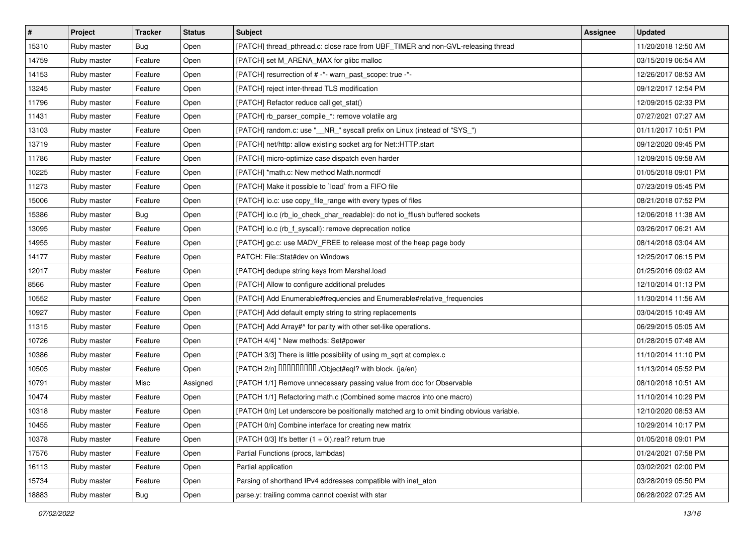| $\vert$ # | Project     | <b>Tracker</b> | <b>Status</b> | <b>Subject</b>                                                                           | <b>Assignee</b> | <b>Updated</b>      |
|-----------|-------------|----------------|---------------|------------------------------------------------------------------------------------------|-----------------|---------------------|
| 15310     | Ruby master | <b>Bug</b>     | Open          | [PATCH] thread_pthread.c: close race from UBF_TIMER and non-GVL-releasing thread         |                 | 11/20/2018 12:50 AM |
| 14759     | Ruby master | Feature        | Open          | [PATCH] set M_ARENA_MAX for glibc malloc                                                 |                 | 03/15/2019 06:54 AM |
| 14153     | Ruby master | Feature        | Open          | [PATCH] resurrection of # -*- warn past scope: true -*-                                  |                 | 12/26/2017 08:53 AM |
| 13245     | Ruby master | Feature        | Open          | [PATCH] reject inter-thread TLS modification                                             |                 | 09/12/2017 12:54 PM |
| 11796     | Ruby master | Feature        | Open          | [PATCH] Refactor reduce call get_stat()                                                  |                 | 12/09/2015 02:33 PM |
| 11431     | Ruby master | Feature        | Open          | [PATCH] rb_parser_compile_*: remove volatile arg                                         |                 | 07/27/2021 07:27 AM |
| 13103     | Ruby master | Feature        | Open          | [PATCH] random.c: use "__NR_" syscall prefix on Linux (instead of "SYS_")                |                 | 01/11/2017 10:51 PM |
| 13719     | Ruby master | Feature        | Open          | [PATCH] net/http: allow existing socket arg for Net::HTTP.start                          |                 | 09/12/2020 09:45 PM |
| 11786     | Ruby master | Feature        | Open          | [PATCH] micro-optimize case dispatch even harder                                         |                 | 12/09/2015 09:58 AM |
| 10225     | Ruby master | Feature        | Open          | [PATCH] *math.c: New method Math.normcdf                                                 |                 | 01/05/2018 09:01 PM |
| 11273     | Ruby master | Feature        | Open          | [PATCH] Make it possible to `load` from a FIFO file                                      |                 | 07/23/2019 05:45 PM |
| 15006     | Ruby master | Feature        | Open          | [PATCH] io.c: use copy_file_range with every types of files                              |                 | 08/21/2018 07:52 PM |
| 15386     | Ruby master | <b>Bug</b>     | Open          | [PATCH] io.c (rb_io_check_char_readable): do not io_fflush buffered sockets              |                 | 12/06/2018 11:38 AM |
| 13095     | Ruby master | Feature        | Open          | [PATCH] io.c (rb_f_syscall): remove deprecation notice                                   |                 | 03/26/2017 06:21 AM |
| 14955     | Ruby master | Feature        | Open          | [PATCH] gc.c: use MADV_FREE to release most of the heap page body                        |                 | 08/14/2018 03:04 AM |
| 14177     | Ruby master | Feature        | Open          | PATCH: File::Stat#dev on Windows                                                         |                 | 12/25/2017 06:15 PM |
| 12017     | Ruby master | Feature        | Open          | [PATCH] dedupe string keys from Marshal.load                                             |                 | 01/25/2016 09:02 AM |
| 8566      | Ruby master | Feature        | Open          | [PATCH] Allow to configure additional preludes                                           |                 | 12/10/2014 01:13 PM |
| 10552     | Ruby master | Feature        | Open          | [PATCH] Add Enumerable#frequencies and Enumerable#relative_frequencies                   |                 | 11/30/2014 11:56 AM |
| 10927     | Ruby master | Feature        | Open          | [PATCH] Add default empty string to string replacements                                  |                 | 03/04/2015 10:49 AM |
| 11315     | Ruby master | Feature        | Open          | [PATCH] Add Array#^ for parity with other set-like operations.                           |                 | 06/29/2015 05:05 AM |
| 10726     | Ruby master | Feature        | Open          | [PATCH 4/4] * New methods: Set#power                                                     |                 | 01/28/2015 07:48 AM |
| 10386     | Ruby master | Feature        | Open          | [PATCH 3/3] There is little possibility of using m_sqrt at complex.c                     |                 | 11/10/2014 11:10 PM |
| 10505     | Ruby master | Feature        | Open          | [PATCH 2/n] DDDDDDDD./Object#eql? with block. (ja/en)                                    |                 | 11/13/2014 05:52 PM |
| 10791     | Ruby master | Misc           | Assigned      | [PATCH 1/1] Remove unnecessary passing value from doc for Observable                     |                 | 08/10/2018 10:51 AM |
| 10474     | Ruby master | Feature        | Open          | [PATCH 1/1] Refactoring math.c (Combined some macros into one macro)                     |                 | 11/10/2014 10:29 PM |
| 10318     | Ruby master | Feature        | Open          | [PATCH 0/n] Let underscore be positionally matched arg to omit binding obvious variable. |                 | 12/10/2020 08:53 AM |
| 10455     | Ruby master | Feature        | Open          | [PATCH 0/n] Combine interface for creating new matrix                                    |                 | 10/29/2014 10:17 PM |
| 10378     | Ruby master | Feature        | Open          | [PATCH $0/3$ ] It's better $(1 + 0i)$ .real? return true                                 |                 | 01/05/2018 09:01 PM |
| 17576     | Ruby master | Feature        | Open          | Partial Functions (procs, lambdas)                                                       |                 | 01/24/2021 07:58 PM |
| 16113     | Ruby master | Feature        | Open          | Partial application                                                                      |                 | 03/02/2021 02:00 PM |
| 15734     | Ruby master | Feature        | Open          | Parsing of shorthand IPv4 addresses compatible with inet aton                            |                 | 03/28/2019 05:50 PM |
| 18883     | Ruby master | Bug            | Open          | parse.y: trailing comma cannot coexist with star                                         |                 | 06/28/2022 07:25 AM |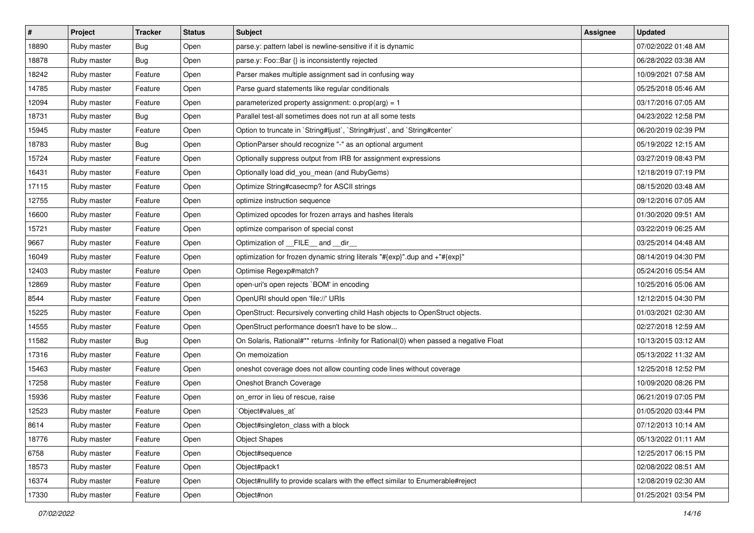| $\vert$ # | Project     | <b>Tracker</b> | <b>Status</b> | <b>Subject</b>                                                                         | <b>Assignee</b> | <b>Updated</b>      |
|-----------|-------------|----------------|---------------|----------------------------------------------------------------------------------------|-----------------|---------------------|
| 18890     | Ruby master | Bug            | Open          | parse.y: pattern label is newline-sensitive if it is dynamic                           |                 | 07/02/2022 01:48 AM |
| 18878     | Ruby master | Bug            | Open          | parse.y: Foo::Bar {} is inconsistently rejected                                        |                 | 06/28/2022 03:38 AM |
| 18242     | Ruby master | Feature        | Open          | Parser makes multiple assignment sad in confusing way                                  |                 | 10/09/2021 07:58 AM |
| 14785     | Ruby master | Feature        | Open          | Parse guard statements like regular conditionals                                       |                 | 05/25/2018 05:46 AM |
| 12094     | Ruby master | Feature        | Open          | parameterized property assignment: $o.prop(arg) = 1$                                   |                 | 03/17/2016 07:05 AM |
| 18731     | Ruby master | <b>Bug</b>     | Open          | Parallel test-all sometimes does not run at all some tests                             |                 | 04/23/2022 12:58 PM |
| 15945     | Ruby master | Feature        | Open          | Option to truncate in `String#ljust`, `String#rjust`, and `String#center`              |                 | 06/20/2019 02:39 PM |
| 18783     | Ruby master | Bug            | Open          | OptionParser should recognize "-" as an optional argument                              |                 | 05/19/2022 12:15 AM |
| 15724     | Ruby master | Feature        | Open          | Optionally suppress output from IRB for assignment expressions                         |                 | 03/27/2019 08:43 PM |
| 16431     | Ruby master | Feature        | Open          | Optionally load did_you_mean (and RubyGems)                                            |                 | 12/18/2019 07:19 PM |
| 17115     | Ruby master | Feature        | Open          | Optimize String#casecmp? for ASCII strings                                             |                 | 08/15/2020 03:48 AM |
| 12755     | Ruby master | Feature        | Open          | optimize instruction sequence                                                          |                 | 09/12/2016 07:05 AM |
| 16600     | Ruby master | Feature        | Open          | Optimized opcodes for frozen arrays and hashes literals                                |                 | 01/30/2020 09:51 AM |
| 15721     | Ruby master | Feature        | Open          | optimize comparison of special const                                                   |                 | 03/22/2019 06:25 AM |
| 9667      | Ruby master | Feature        | Open          | Optimization of __FILE__ and __dir_                                                    |                 | 03/25/2014 04:48 AM |
| 16049     | Ruby master | Feature        | Open          | optimization for frozen dynamic string literals "#{exp}" dup and +"#{exp}"             |                 | 08/14/2019 04:30 PM |
| 12403     | Ruby master | Feature        | Open          | Optimise Regexp#match?                                                                 |                 | 05/24/2016 05:54 AM |
| 12869     | Ruby master | Feature        | Open          | open-uri's open rejects `BOM' in encoding                                              |                 | 10/25/2016 05:06 AM |
| 8544      | Ruby master | Feature        | Open          | OpenURI should open 'file://' URIs                                                     |                 | 12/12/2015 04:30 PM |
| 15225     | Ruby master | Feature        | Open          | OpenStruct: Recursively converting child Hash objects to OpenStruct objects.           |                 | 01/03/2021 02:30 AM |
| 14555     | Ruby master | Feature        | Open          | OpenStruct performance doesn't have to be slow                                         |                 | 02/27/2018 12:59 AM |
| 11582     | Ruby master | Bug            | Open          | On Solaris, Rational#** returns -Infinity for Rational(0) when passed a negative Float |                 | 10/13/2015 03:12 AM |
| 17316     | Ruby master | Feature        | Open          | On memoization                                                                         |                 | 05/13/2022 11:32 AM |
| 15463     | Ruby master | Feature        | Open          | oneshot coverage does not allow counting code lines without coverage                   |                 | 12/25/2018 12:52 PM |
| 17258     | Ruby master | Feature        | Open          | Oneshot Branch Coverage                                                                |                 | 10/09/2020 08:26 PM |
| 15936     | Ruby master | Feature        | Open          | on_error in lieu of rescue, raise                                                      |                 | 06/21/2019 07:05 PM |
| 12523     | Ruby master | Feature        | Open          | Object#values at`                                                                      |                 | 01/05/2020 03:44 PM |
| 8614      | Ruby master | Feature        | Open          | Object#singleton_class with a block                                                    |                 | 07/12/2013 10:14 AM |
| 18776     | Ruby master | Feature        | Open          | <b>Object Shapes</b>                                                                   |                 | 05/13/2022 01:11 AM |
| 6758      | Ruby master | Feature        | Open          | Object#sequence                                                                        |                 | 12/25/2017 06:15 PM |
| 18573     | Ruby master | Feature        | Open          | Object#pack1                                                                           |                 | 02/08/2022 08:51 AM |
| 16374     | Ruby master | Feature        | Open          | Object#nullify to provide scalars with the effect similar to Enumerable#reject         |                 | 12/08/2019 02:30 AM |
| 17330     | Ruby master | Feature        | Open          | Object#non                                                                             |                 | 01/25/2021 03:54 PM |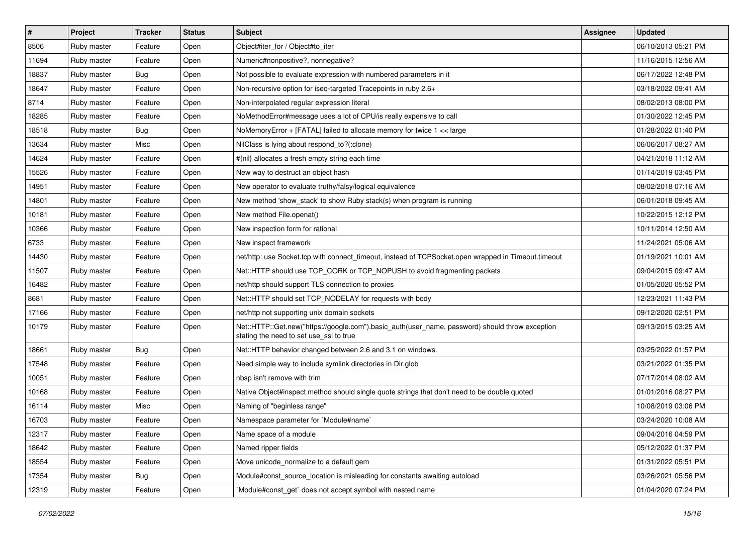| $\vert$ # | Project     | <b>Tracker</b> | <b>Status</b> | Subject                                                                                                                                    | <b>Assignee</b> | <b>Updated</b>      |
|-----------|-------------|----------------|---------------|--------------------------------------------------------------------------------------------------------------------------------------------|-----------------|---------------------|
| 8506      | Ruby master | Feature        | Open          | Object#iter_for / Object#to_iter                                                                                                           |                 | 06/10/2013 05:21 PM |
| 11694     | Ruby master | Feature        | Open          | Numeric#nonpositive?, nonnegative?                                                                                                         |                 | 11/16/2015 12:56 AM |
| 18837     | Ruby master | <b>Bug</b>     | Open          | Not possible to evaluate expression with numbered parameters in it                                                                         |                 | 06/17/2022 12:48 PM |
| 18647     | Ruby master | Feature        | Open          | Non-recursive option for iseq-targeted Tracepoints in ruby 2.6+                                                                            |                 | 03/18/2022 09:41 AM |
| 8714      | Ruby master | Feature        | Open          | Non-interpolated regular expression literal                                                                                                |                 | 08/02/2013 08:00 PM |
| 18285     | Ruby master | Feature        | Open          | NoMethodError#message uses a lot of CPU/is really expensive to call                                                                        |                 | 01/30/2022 12:45 PM |
| 18518     | Ruby master | <b>Bug</b>     | Open          | NoMemoryError + [FATAL] failed to allocate memory for twice 1 << large                                                                     |                 | 01/28/2022 01:40 PM |
| 13634     | Ruby master | Misc           | Open          | NilClass is lying about respond_to?(:clone)                                                                                                |                 | 06/06/2017 08:27 AM |
| 14624     | Ruby master | Feature        | Open          | #{nil} allocates a fresh empty string each time                                                                                            |                 | 04/21/2018 11:12 AM |
| 15526     | Ruby master | Feature        | Open          | New way to destruct an object hash                                                                                                         |                 | 01/14/2019 03:45 PM |
| 14951     | Ruby master | Feature        | Open          | New operator to evaluate truthy/falsy/logical equivalence                                                                                  |                 | 08/02/2018 07:16 AM |
| 14801     | Ruby master | Feature        | Open          | New method 'show_stack' to show Ruby stack(s) when program is running                                                                      |                 | 06/01/2018 09:45 AM |
| 10181     | Ruby master | Feature        | Open          | New method File.openat()                                                                                                                   |                 | 10/22/2015 12:12 PM |
| 10366     | Ruby master | Feature        | Open          | New inspection form for rational                                                                                                           |                 | 10/11/2014 12:50 AM |
| 6733      | Ruby master | Feature        | Open          | New inspect framework                                                                                                                      |                 | 11/24/2021 05:06 AM |
| 14430     | Ruby master | Feature        | Open          | net/http: use Socket.tcp with connect_timeout, instead of TCPSocket.open wrapped in Timeout.timeout                                        |                 | 01/19/2021 10:01 AM |
| 11507     | Ruby master | Feature        | Open          | Net::HTTP should use TCP_CORK or TCP_NOPUSH to avoid fragmenting packets                                                                   |                 | 09/04/2015 09:47 AM |
| 16482     | Ruby master | Feature        | Open          | net/http should support TLS connection to proxies                                                                                          |                 | 01/05/2020 05:52 PM |
| 8681      | Ruby master | Feature        | Open          | Net::HTTP should set TCP_NODELAY for requests with body                                                                                    |                 | 12/23/2021 11:43 PM |
| 17166     | Ruby master | Feature        | Open          | net/http not supporting unix domain sockets                                                                                                |                 | 09/12/2020 02:51 PM |
| 10179     | Ruby master | Feature        | Open          | Net::HTTP::Get.new("https://google.com").basic_auth(user_name, password) should throw exception<br>stating the need to set use_ssl to true |                 | 09/13/2015 03:25 AM |
| 18661     | Ruby master | Bug            | Open          | Net::HTTP behavior changed between 2.6 and 3.1 on windows.                                                                                 |                 | 03/25/2022 01:57 PM |
| 17548     | Ruby master | Feature        | Open          | Need simple way to include symlink directories in Dir.glob                                                                                 |                 | 03/21/2022 01:35 PM |
| 10051     | Ruby master | Feature        | Open          | nbsp isn't remove with trim                                                                                                                |                 | 07/17/2014 08:02 AM |
| 10168     | Ruby master | Feature        | Open          | Native Object#inspect method should single quote strings that don't need to be double quoted                                               |                 | 01/01/2016 08:27 PM |
| 16114     | Ruby master | Misc           | Open          | Naming of "beginless range"                                                                                                                |                 | 10/08/2019 03:06 PM |
| 16703     | Ruby master | Feature        | Open          | Namespace parameter for `Module#name`                                                                                                      |                 | 03/24/2020 10:08 AM |
| 12317     | Ruby master | Feature        | Open          | Name space of a module                                                                                                                     |                 | 09/04/2016 04:59 PM |
| 18642     | Ruby master | Feature        | Open          | Named ripper fields                                                                                                                        |                 | 05/12/2022 01:37 PM |
| 18554     | Ruby master | Feature        | Open          | Move unicode_normalize to a default gem                                                                                                    |                 | 01/31/2022 05:51 PM |
| 17354     | Ruby master | <b>Bug</b>     | Open          | Module#const source location is misleading for constants awaiting autoload                                                                 |                 | 03/26/2021 05:56 PM |
| 12319     | Ruby master | Feature        | Open          | Module#const_get` does not accept symbol with nested name                                                                                  |                 | 01/04/2020 07:24 PM |